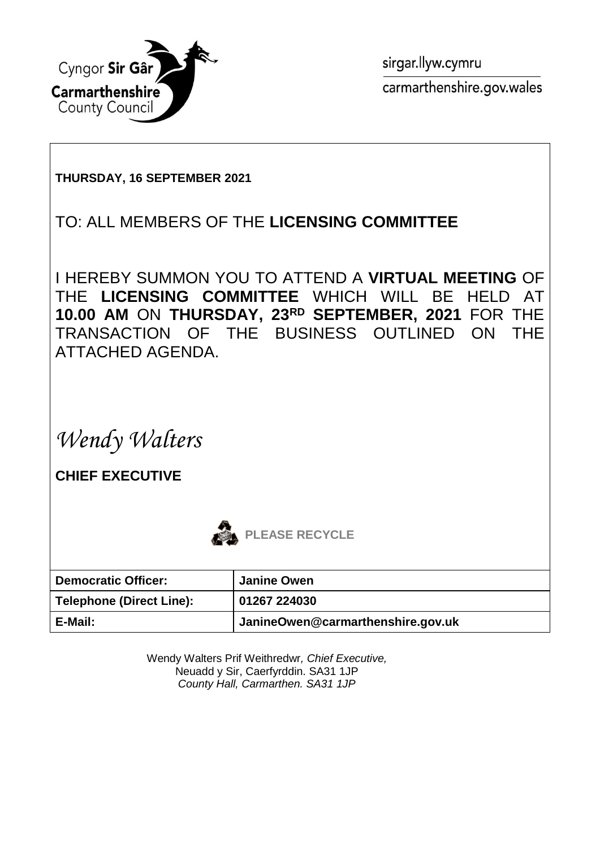

sirgar.llyw.cymru carmarthenshire.gov.wales

#### **THURSDAY, 16 SEPTEMBER 2021**

### TO: ALL MEMBERS OF THE **LICENSING COMMITTEE**

I HEREBY SUMMON YOU TO ATTEND A **VIRTUAL MEETING** OF THE **LICENSING COMMITTEE** WHICH WILL BE HELD AT **10.00 AM** ON **THURSDAY, 23RD SEPTEMBER, 2021** FOR THE TRANSACTION OF THE BUSINESS OUTLINED ON THE ATTACHED AGENDA.

*Wendy Walters*

**CHIEF EXECUTIVE**



| <b>Democratic Officer:</b>      | <b>Janine Owen</b>                |
|---------------------------------|-----------------------------------|
| <b>Telephone (Direct Line):</b> | 01267 224030                      |
| E-Mail:                         | JanineOwen@carmarthenshire.gov.uk |

Wendy Walters Prif Weithredwr*, Chief Executive,* Neuadd y Sir, Caerfyrddin. SA31 1JP *County Hall, Carmarthen. SA31 1JP*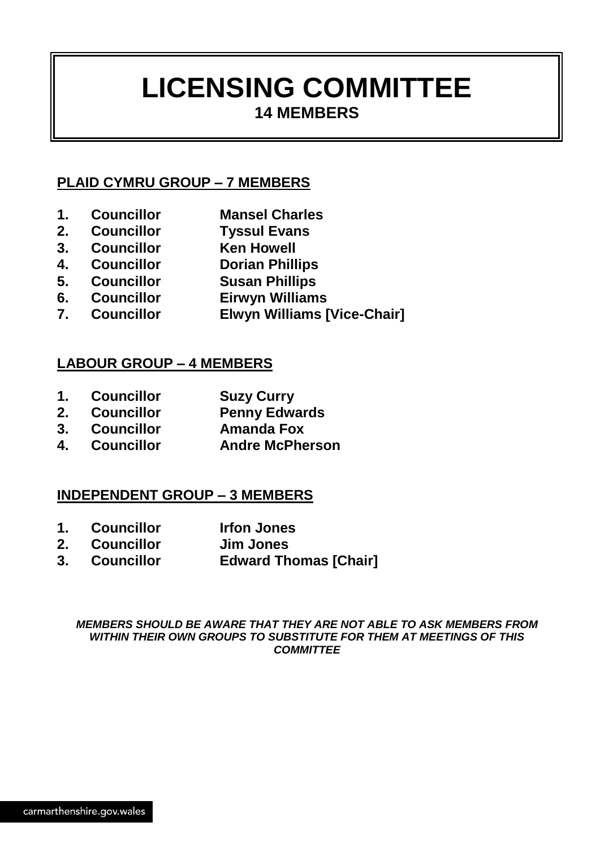## **LICENSING COMMITTEE 14 MEMBERS**

#### **PLAID CYMRU GROUP – 7 MEMBERS**

- **1. Councillor Mansel Charles**
- **2. Councillor Tyssul Evans**
- **3. Councillor Ken Howell**
- **4. Councillor Dorian Phillips**
- **5. Councillor Susan Phillips**
- **6. Councillor Eirwyn Williams**
- **7. Councillor Elwyn Williams [Vice-Chair]**

#### **LABOUR GROUP – 4 MEMBERS**

- **1. Councillor Suzy Curry**
- **2. Councillor Penny Edwards**
- **3. Councillor Amanda Fox**
- **4. Councillor Andre McPherson**

#### **INDEPENDENT GROUP – 3 MEMBERS**

- **1. Councillor Irfon Jones**
- **2. Councillor Jim Jones**
- **3. Councillor Edward Thomas [Chair]**

*MEMBERS SHOULD BE AWARE THAT THEY ARE NOT ABLE TO ASK MEMBERS FROM WITHIN THEIR OWN GROUPS TO SUBSTITUTE FOR THEM AT MEETINGS OF THIS COMMITTEE*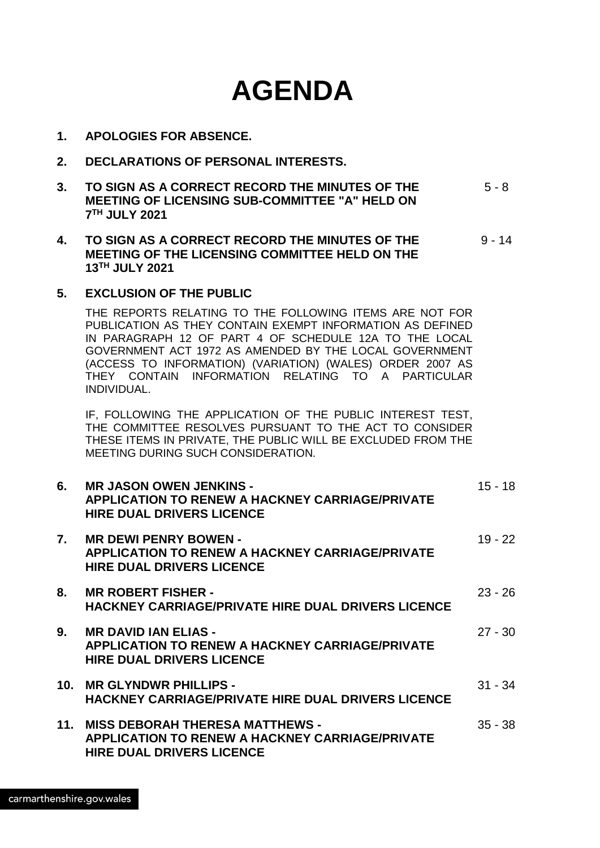# **AGENDA**

- **1. APOLOGIES FOR ABSENCE.**
- **2. DECLARATIONS OF PERSONAL INTERESTS.**
- **3. TO SIGN AS A CORRECT RECORD THE MINUTES OF THE MEETING OF LICENSING SUB-COMMITTEE "A" HELD ON 7 TH JULY 2021** 5 - 8
- **4. TO SIGN AS A CORRECT RECORD THE MINUTES OF THE MEETING OF THE LICENSING COMMITTEE HELD ON THE 13TH JULY 2021** 9 - 14
- **5. EXCLUSION OF THE PUBLIC**

THE REPORTS RELATING TO THE FOLLOWING ITEMS ARE NOT FOR PUBLICATION AS THEY CONTAIN EXEMPT INFORMATION AS DEFINED IN PARAGRAPH 12 OF PART 4 OF SCHEDULE 12A TO THE LOCAL GOVERNMENT ACT 1972 AS AMENDED BY THE LOCAL GOVERNMENT (ACCESS TO INFORMATION) (VARIATION) (WALES) ORDER 2007 AS THEY CONTAIN INFORMATION RELATING TO A PARTICULAR INDIVIDUAL.

IF, FOLLOWING THE APPLICATION OF THE PUBLIC INTEREST TEST, THE COMMITTEE RESOLVES PURSUANT TO THE ACT TO CONSIDER THESE ITEMS IN PRIVATE, THE PUBLIC WILL BE EXCLUDED FROM THE MEETING DURING SUCH CONSIDERATION.

| 6.  | <b>MR JASON OWEN JENKINS -</b><br><b>APPLICATION TO RENEW A HACKNEY CARRIAGE/PRIVATE</b><br><b>HIRE DUAL DRIVERS LICENCE</b>         | $15 - 18$ |
|-----|--------------------------------------------------------------------------------------------------------------------------------------|-----------|
| 7.  | <b>MR DEWI PENRY BOWEN -</b><br><b>APPLICATION TO RENEW A HACKNEY CARRIAGE/PRIVATE</b><br><b>HIRE DUAL DRIVERS LICENCE</b>           | $19 - 22$ |
| 8.  | <b>MR ROBERT FISHER -</b><br><b>HACKNEY CARRIAGE/PRIVATE HIRE DUAL DRIVERS LICENCE</b>                                               | $23 - 26$ |
| 9.  | <b>MR DAVID IAN ELIAS -</b><br><b>APPLICATION TO RENEW A HACKNEY CARRIAGE/PRIVATE</b><br><b>HIRE DUAL DRIVERS LICENCE</b>            | $27 - 30$ |
| 10. | <b>MR GLYNDWR PHILLIPS -</b><br>HACKNEY CARRIAGE/PRIVATE HIRE DUAL DRIVERS LICENCE                                                   | $31 - 34$ |
| 11. | <b>MISS DEBORAH THERESA MATTHEWS -</b><br><b>APPLICATION TO RENEW A HACKNEY CARRIAGE/PRIVATE</b><br><b>HIRE DUAL DRIVERS LICENCE</b> | $35 - 38$ |